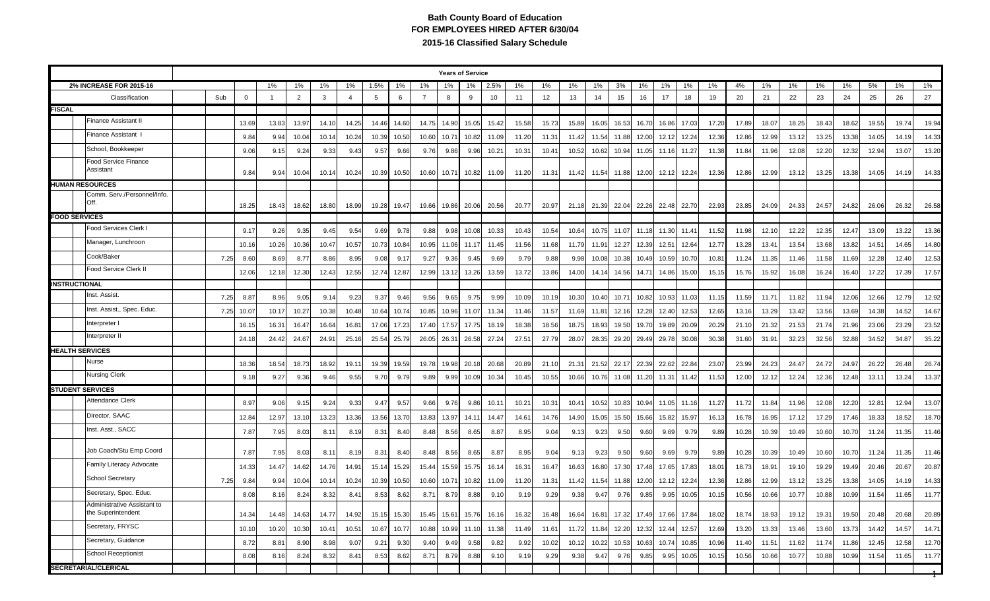## **Bath County Board of Education FOR EMPLOYEES HIRED AFTER 6/30/04 2015-16 Classified Salary Schedule**

|                        |                                                   |      |              |       |                |       |                |       |       |                |                   | <b>Years of Service</b> |                         |       |       |       |       |                               |       |       |       |       |       |       |       |       |       |       |       |       |
|------------------------|---------------------------------------------------|------|--------------|-------|----------------|-------|----------------|-------|-------|----------------|-------------------|-------------------------|-------------------------|-------|-------|-------|-------|-------------------------------|-------|-------|-------|-------|-------|-------|-------|-------|-------|-------|-------|-------|
|                        | 2% INCREASE FOR 2015-16                           |      |              | 1%    | 1%             | 1%    | 1%             | 1.5%  | 1%    | 1%             | 1%                | 1%                      | 2.5%                    | 1%    | 1%    | 1%    | 1%    | 3%                            | 1%    | 1%    | 1%    | 1%    | 4%    | 1%    | 1%    | 1%    | 1%    | 5%    | 1%    | 1%    |
| Classification         |                                                   | Sub  | $\mathsf{O}$ |       | $\overline{2}$ | 3     | $\overline{4}$ | 5     | 6     | $\overline{7}$ | 8                 | 9                       | 10                      | 11    | 12    | 13    | 14    | 15                            | 16    | 17    | 18    | 19    | 20    | 21    | 22    | 23    | 24    | 25    | 26    | 27    |
| <b>FISCAL</b>          |                                                   |      |              |       |                |       |                |       |       |                |                   |                         |                         |       |       |       |       |                               |       |       |       |       |       |       |       |       |       |       |       |       |
|                        | <b>Finance Assistant II</b>                       |      | 13.69        | 13.83 | 13.97          | 14.10 | 14.25          | 14.46 | 14.60 | 14.75          | 14.90             | 15.05                   | 15.42                   | 15.58 | 15.73 | 15.89 | 16.05 | 16.53                         | 16.70 | 16.86 | 17.0  | 17.20 | 17.89 | 18.07 | 18.25 | 18.43 | 18.62 | 19.55 | 19.74 | 19.94 |
|                        | Finance Assistant I                               |      | 9.84         | 9.94  | 10.04          | 10.14 | 10.24          | 10.39 | 10.50 | 10.60          | 10.7 <sup>2</sup> | 10.82                   | 11.09                   | 11.20 | 11.31 | 11.42 | 11.54 | 11.88                         | 12.00 | 12.12 | 12.24 | 12.36 | 12.86 | 12.99 | 13.12 | 13.25 | 13.38 | 14.05 | 14.19 | 14.33 |
|                        | School, Bookkeeper                                |      | 9.06         | 9.15  | 9.24           | 9.33  | 9.43           | 9.57  | 9.66  | 9.76           | 9.86              | 9.96                    | 10.21                   | 10.31 | 10.41 | 10.52 | 10.62 | 10.94                         | 11.05 | 11.16 | 11.27 | 11.38 | 11.84 | 11.96 | 12.08 | 12.20 | 12.32 | 12.94 | 13.07 | 13.20 |
|                        | Food Service Finance<br>Assistant                 |      | 9.84         | 9.94  | 10.04          | 10.14 | 10.24          | 10.39 | 10.50 | 10.60          | 10.71             | 10.82                   | 11.09                   | 11.20 | 11.31 | 11.42 | 11.54 | 11.88                         | 12.00 | 12.12 | 12.24 | 12.36 | 12.86 | 12.99 | 13.12 | 13.25 | 13.38 | 14.05 | 14.19 | 14.33 |
|                        | <b>HUMAN RESOURCES</b>                            |      |              |       |                |       |                |       |       |                |                   |                         |                         |       |       |       |       |                               |       |       |       |       |       |       |       |       |       |       |       |       |
|                        | Comm. Serv./Personnel/Info<br>Off.                |      | 18.25        | 18.43 | 18.62          | 18.80 | 18.99          | 19.28 | 19.47 | 19.66          | 19.86             | 20.06                   | 20.56                   | 20.77 | 20.97 | 21.18 | 21.39 | 22.04                         | 22.26 | 22.48 | 22.70 | 22.93 | 23.85 | 24.09 | 24.33 | 24.57 | 24.82 | 26.06 | 26.32 | 26.58 |
| <b>FOOD SERVICES</b>   |                                                   |      |              |       |                |       |                |       |       |                |                   |                         |                         |       |       |       |       |                               |       |       |       |       |       |       |       |       |       |       |       |       |
|                        | Food Services Clerk I                             |      | 9.17         | 9.26  | 9.35           | 9.45  | 9.54           | 9.69  | 9.78  | 9.88           | 9.98              | 10.08                   | 10.33                   | 10.43 | 10.54 | 10.64 | 10.75 | 11.07                         | 11.18 | 11.30 | 11.4  | 11.52 | 11.98 | 12.10 | 12.22 | 12.35 | 12.47 | 13.09 | 13.22 | 13.36 |
|                        | Manager, Lunchroon                                |      | 10.16        | 10.26 | 10.36          | 10.47 | 10.57          | 10.73 | 10.84 | 10.95          | 11.06             | 11.17                   | 11.45                   | 11.56 | 11.68 | 11.79 | 11.91 | 12.27                         | 12.39 | 12.51 | 12.64 | 12.77 | 13.28 | 13.41 | 13.54 | 13.68 | 13.82 | 14.51 | 14.65 | 14.80 |
|                        | Cook/Baker                                        | 7.25 | 8.60         | 8.69  | 8.77           | 8.86  | 8.95           | 9.08  | 9.1   | 9.27           | 9.36              | 9.45                    | 9.69                    | 9.79  | 9.88  | 9.98  | 10.08 | 10.38                         | 10.49 | 10.59 | 10.70 | 10.81 | 11.24 | 11.35 | 11.46 | 11.58 | 11.69 | 12.28 | 12.40 | 12.53 |
|                        | Food Service Clerk II                             |      | 12.06        | 12.18 | 12.30          | 12.43 | 12.55          | 12.74 | 12.8  | 12.99          | 13.12             | 13.26                   | 13.59                   | 13.72 | 13.86 | 14.00 | 14.14 | 14.56                         | 14.71 | 14.86 | 15.00 | 15.15 | 15.76 | 15.92 | 16.08 | 16.24 | 16.40 | 17.22 | 17.39 | 17.57 |
| <b>INSTRUCTIONAL</b>   |                                                   |      |              |       |                |       |                |       |       |                |                   |                         |                         |       |       |       |       |                               |       |       |       |       |       |       |       |       |       |       |       |       |
|                        | Inst. Assist.                                     | 7.25 | 8.87         | 8.96  | 9.05           | 9.14  | 9.23           | 9.37  | 9.46  | 9.56           | 9.65              | 9.75                    | 9.99                    | 10.09 | 10.19 | 10.30 | 10.40 | 10.71                         | 10.82 | 10.93 | 11.03 | 11.15 | 11.59 | 11.71 | 11.82 | 11.94 | 12.06 | 12.66 | 12.79 | 12.92 |
|                        | Inst. Assist., Spec. Educ.                        | 7.25 | 10.07        | 10.17 | 10.27          | 10.38 | 10.48          | 10.64 | 10.74 | 10.85          | 10.96             | 11.07                   | 11.34                   | 11.46 | 11.57 | 11.69 | 11.81 | 12.16                         | 12.28 | 12.40 | 12.5  | 12.65 | 13.16 | 13.29 | 13.42 | 13.56 | 13.69 | 14.38 | 14.52 | 14.67 |
|                        | Interpreter I                                     |      | 16.15        | 16.31 | 16.47          | 16.64 | 16.8           | 17.06 | 17.23 | 17.40          | 17.57             | 17.75                   | 18.19                   | 18.38 | 18.56 | 18.75 | 18.93 | 19.50                         | 19.70 | 19.89 | 20.09 | 20.29 | 21.10 | 21.32 | 21.53 | 21.74 | 21.96 | 23.06 | 23.29 | 23.52 |
|                        | Interpreter II                                    |      | 24.18        | 24.42 | 24.67          | 24.91 | 25.16          | 25.54 | 25.79 | 26.05          | 26.31             | 26.58                   | 27.24                   | 27.51 | 27.79 | 28.07 | 28.35 | 29.20 29.49                   |       | 29.78 | 30.08 | 30.38 | 31.60 | 31.91 | 32.23 | 32.56 | 32.88 | 34.52 | 34.87 | 35.22 |
| <b>HEALTH SERVICES</b> |                                                   |      |              |       |                |       |                |       |       |                |                   |                         |                         |       |       |       |       |                               |       |       |       |       |       |       |       |       |       |       |       |       |
|                        | Nurse                                             |      | 18.36        | 18.54 | 18.73          | 18.92 | 19.1           | 19.39 | 19.59 | 19.78          | 19.98             | 20.18                   | 20.68                   | 20.89 | 21.10 | 21.31 | 21.52 | 22.17                         | 22.39 | 22.62 | 22.84 | 23.07 | 23.99 | 24.23 | 24.47 | 24.72 | 24.97 | 26.22 | 26.48 | 26.74 |
|                        | Nursing Clerk                                     |      | 9.18         | 9.27  | 9.36           | 9.46  | 9.55           | 9.70  | 9.79  | 9.89           | 9.99              | 10.09                   | 10.34                   | 10.45 | 10.55 | 10.66 |       | 10.76 11.08                   | 11.20 | 11.31 | 11.42 | 11.53 | 12.00 | 12.12 | 12.24 | 12.36 | 12.48 | 13.11 | 13.24 | 13.37 |
|                        | <b>STUDENT SERVICES</b>                           |      |              |       |                |       |                |       |       |                |                   |                         |                         |       |       |       |       |                               |       |       |       |       |       |       |       |       |       |       |       |       |
|                        | Attendance Clerk                                  |      | 8.97         | 9.06  | 9.15           | 9.24  | 9.33           | 9.47  | 9.57  | 9.66           | 9.76              | 9.86                    | 10.1                    | 10.21 | 10.31 | 10.41 | 10.52 | 10.83                         | 10.94 | 11.05 | 11.16 | 11.27 | 11.72 | 11.84 | 11.96 | 12.08 | 12.20 | 12.81 | 12.94 | 13.07 |
|                        | Director, SAAC                                    |      | 12.84        | 12.97 | 13.10          | 13.23 | 13.36          | 13.56 | 13.70 | 13.83          | 13.97             | 14.1'                   | 14.47                   | 14.61 | 14.76 | 14.90 | 15.05 | 15.50                         | 15.66 | 15.82 | 15.97 | 16.13 | 16.78 | 16.95 | 17.12 | 17.29 | 17.46 | 18.33 | 18.52 | 18.70 |
|                        | Inst. Asst., SACC                                 |      | 7.87         | 7.95  | 8.03           | 8.11  | 8.19           | 8.31  | 8.40  | 8.48           | 8.56              | 8.65                    | 8.87                    | 8.95  | 9.04  | 9.13  | 9.23  | 9.50                          | 9.60  | 9.69  | 9.79  | 9.89  | 10.28 | 10.39 | 10.49 | 10.60 | 10.70 | 11.24 | 11.35 | 11.46 |
|                        | Job Coach/Stu Emp Coord                           |      | 7.87         | 7.95  | 8.03           | 8.11  | 8.19           | 8.31  | 8.40  | 8.48           | 8.56              | 8.65                    | 8.87                    | 8.95  | 9.04  | 9.13  | 9.23  | 9.50                          | 9.60  | 9.69  | 9.79  | 9.89  | 10.28 | 10.39 | 10.49 | 10.60 | 10.70 | 11.24 | 11.35 | 11.46 |
|                        | Family Literacy Advocate                          |      | 14.33        | 14.47 | 14.62          | 14.76 | 14.9'          | 15.14 | 15.29 | 15.44          | 15.59             | 15.75                   | 16.14                   | 16.31 | 16.47 | 16.63 | 16.80 | 17.30                         | 17.48 | 17.65 | 17.83 | 18.01 | 18.73 | 18.91 | 19.10 | 19.29 | 19.49 | 20.46 | 20.67 | 20.87 |
|                        | School Secretary                                  | 7.25 | 9.84         | 9.94  | 10.04          | 10.14 | 10.24          | 10.39 | 10.50 | 10.60          | $10.7^{\circ}$    | 10.82                   | 11.09                   | 11.20 | 11.31 | 11.42 | 11.54 | 11.88                         | 12.00 | 12.12 | 12.24 | 12.36 | 12.86 | 12.99 | 13.12 | 13.25 | 13.38 | 14.05 | 14.19 | 14.33 |
|                        | Secretary, Spec. Educ.                            |      | 8.08         | 8.16  | 8.24           | 8.32  | 8.4            | 8.53  | 8.62  | 8.71           | 8.79              | 8.88                    | 9.10                    | 9.19  | 9.29  | 9.38  | 9.47  | 9.76                          | 9.85  | 9.95  | 10.05 | 10.15 | 10.56 | 10.66 | 10.77 | 10.88 | 10.99 | 11.54 | 11.65 | 11.77 |
|                        | Administrative Assistant to<br>the Superintendent |      | 14.34        | 14.48 | 14.63          | 14.77 | 14.92          | 15.15 | 15.30 |                |                   |                         | 15.45 15.61 15.76 16.16 | 16.32 | 16.48 | 16.64 |       | 16.81 17.32 17.49 17.66 17.84 |       |       |       | 18.02 | 18.74 | 18.93 | 19.12 | 19.31 | 19.50 | 20.48 | 20.68 | 20.89 |
|                        | Secretary, FRYSC                                  |      | 10.10        | 10.20 | 10.30          | 10.41 | 10.51          | 10.67 | 10.77 | 10.88          | 10.99             | 11.10                   | 11.38                   | 11.49 | 11.61 | 11.72 |       | 11.84 12.20 12.32             |       | 12.44 | 12.57 | 12.69 | 13.20 | 13.33 | 13.46 | 13.60 | 13.73 | 14.42 | 14.57 | 14.71 |
|                        | Secretary, Guidance                               |      | 8.72         | 8.81  | 8.90           | 8.98  | 9.07           | 9.21  | 9.30  | 9.40           | 9.49              | 9.58                    | 9.82                    | 9.92  | 10.02 | 10.12 |       | 10.22 10.53 10.63             |       | 10.74 | 10.85 | 10.96 | 11.40 | 11.51 | 11.62 | 11.74 | 11.86 | 12.45 | 12.58 | 12.70 |
|                        | <b>School Receptionist</b>                        |      | 8.08         | 8.16  | 8.24           | 8.32  | 8.41           | 8.53  | 8.62  | 8.71           | 8.79              | 8.88                    | 9.10                    | 9.19  | 9.29  | 9.38  | 9.47  | 9.76                          | 9.85  | 9.95  | 10.05 | 10.15 | 10.56 | 10.66 | 10.77 | 10.88 | 10.99 | 11.54 | 11.65 | 11.77 |
|                        | <b>SECRETARIAL/CLERICAL</b>                       |      |              |       |                |       |                |       |       |                |                   |                         |                         |       |       |       |       |                               |       |       |       |       |       |       |       |       |       |       |       |       |